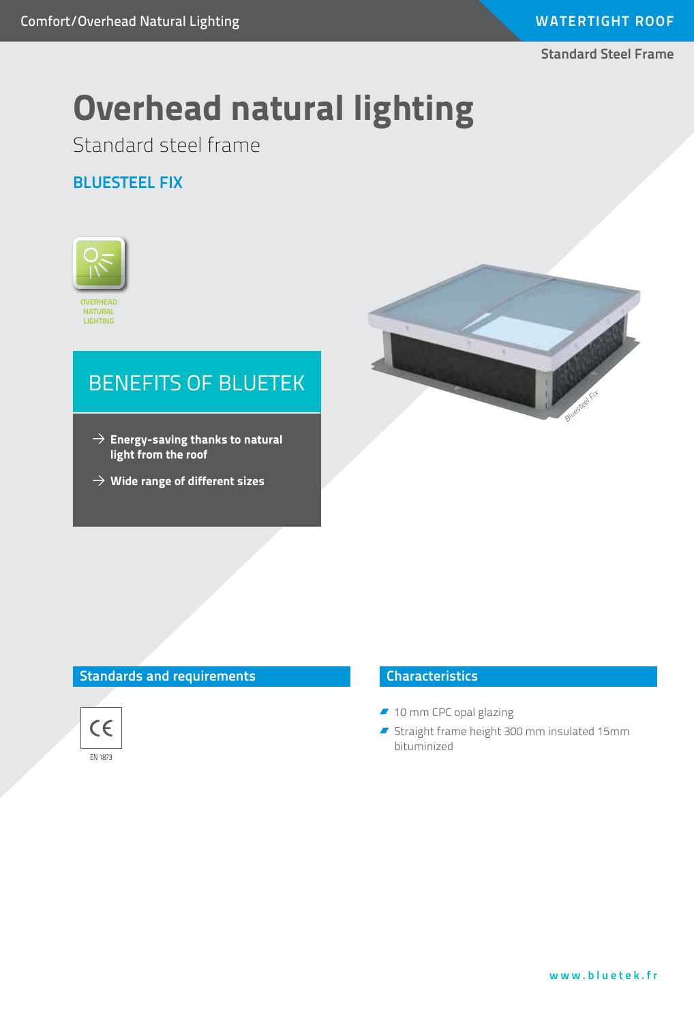**Standard Steel Frame**

# **Overhead natural lighting**

Standard steel frame

#### **Bluesteel FIX**



# BENEFITS OF BLUETEK

- $\rightarrow$  Energy-saving thanks to natural **light from the roof**
- **Wide range of different sizes**



#### **Standards and requirements**



#### **Characteristics**

- 10 mm CPC opal glazing
- Straight frame height 300 mm insulated 15mm bituminized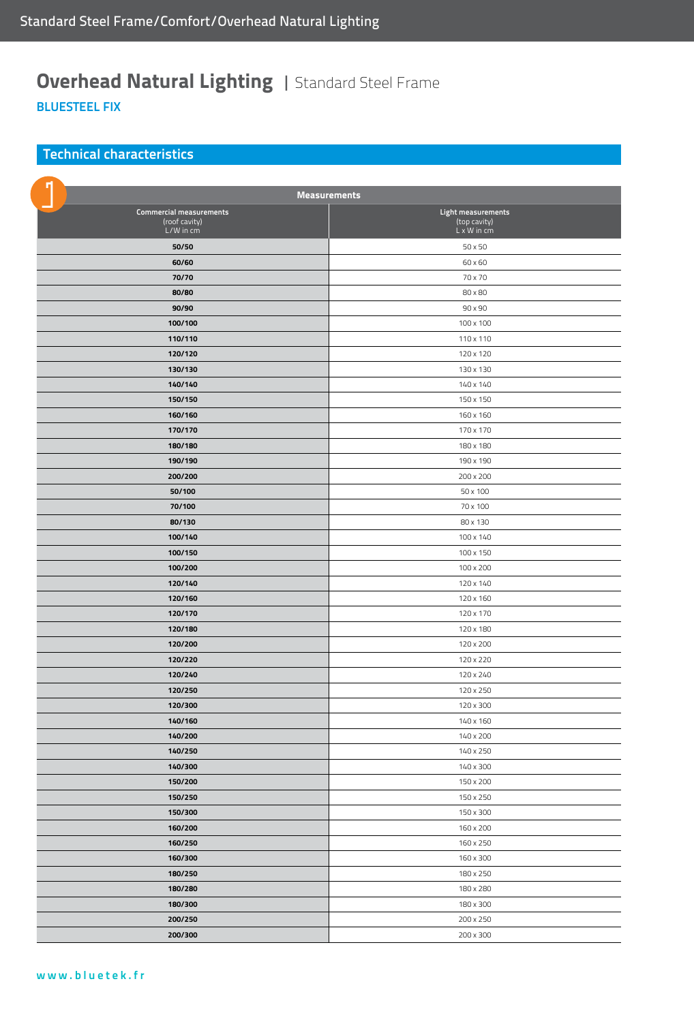### **Overhead Natural Lighting | Standard Steel Frame BluesteEL FIX**

#### **Technical characteristics**

| <b>Measurements</b>                                          |                                                   |
|--------------------------------------------------------------|---------------------------------------------------|
| <b>Commercial measurements</b><br>(roof cavity)<br>L/W in cm | Light measurements<br>(top cavity)<br>L x W in cm |
| 50/50                                                        | 50 x 50                                           |
| 60/60                                                        | 60 x 60                                           |
| 70/70                                                        | 70 x 70                                           |
| 80/80                                                        | 80 x 80                                           |
| 90/90                                                        | 90 x 90                                           |
| 100/100                                                      | 100 x 100                                         |
| 110/110                                                      | 110 x 110                                         |
| 120/120                                                      | 120 x 120                                         |
| 130/130                                                      | 130 x 130                                         |
| 140/140                                                      | 140 x 140                                         |
| 150/150                                                      | 150 x 150                                         |
| 160/160                                                      | 160 x 160                                         |
| 170/170                                                      | 170 x 170                                         |
| 180/180                                                      | 180 x 180                                         |
| 190/190                                                      | 190 x 190                                         |
| 200/200                                                      | 200 x 200                                         |
| 50/100                                                       | 50 x 100                                          |
| 70/100                                                       | 70 x 100                                          |
| 80/130                                                       | 80 x 130                                          |
| 100/140                                                      | 100 x 140                                         |
| 100/150                                                      | 100 x 150                                         |
| 100/200                                                      | 100 x 200                                         |
| 120/140                                                      | 120 x 140                                         |
| 120/160                                                      | 120 x 160                                         |
| 120/170                                                      | 120 x 170                                         |
| 120/180                                                      | 120 x 180                                         |
| 120/200                                                      | 120 x 200                                         |
| 120/220                                                      | 120 x 220                                         |
| 120/240                                                      | 120 x 240                                         |
| 120/250                                                      | 120 x 250                                         |
| 120/300                                                      | 120 x 300                                         |
| 140/160                                                      | 140 x 160                                         |
| 140/200                                                      | 140 x 200                                         |
| 140/250                                                      | 140 x 250                                         |
| 140/300                                                      | 140 x 300                                         |
| 150/200                                                      | 150 x 200                                         |
| 150/250                                                      | 150 x 250                                         |
| 150/300                                                      | 150 x 300                                         |
| 160/200                                                      | 160 x 200                                         |
| 160/250                                                      | 160 x 250                                         |
| 160/300                                                      | 160 x 300                                         |
| 180/250                                                      | 180 x 250                                         |
| 180/280                                                      | 180 x 280                                         |
| 180/300                                                      | 180 x 300                                         |
| 200/250                                                      | 200 x 250                                         |
| 200/300                                                      | 200 x 300                                         |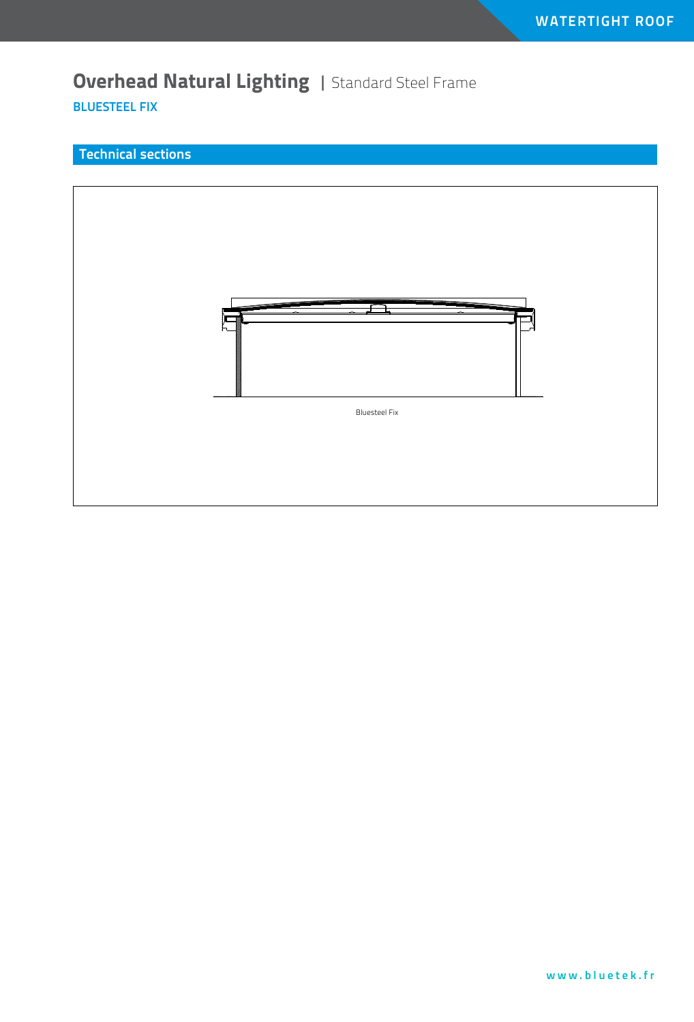### **Overhead Natural Lighting | Standard Steel Frame BluesteEL FIX**

#### **Technical sections**